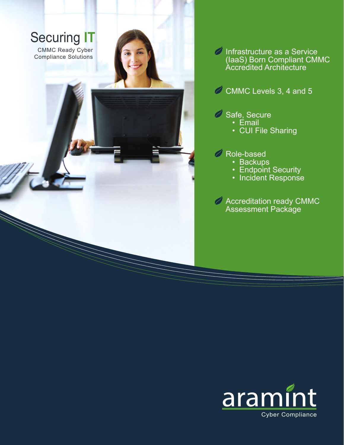

Infrastructure as a Service (IaaS) Born Compliant CMMC Accredited Architecture

CMMC Levels 3, 4 and 5

- Safe, Secure
	- Email
		- CUI File Sharing

Role-based

- Backups
- Endpoint Security
- Incident Response

**Accreditation ready CMMC** Assessment Package